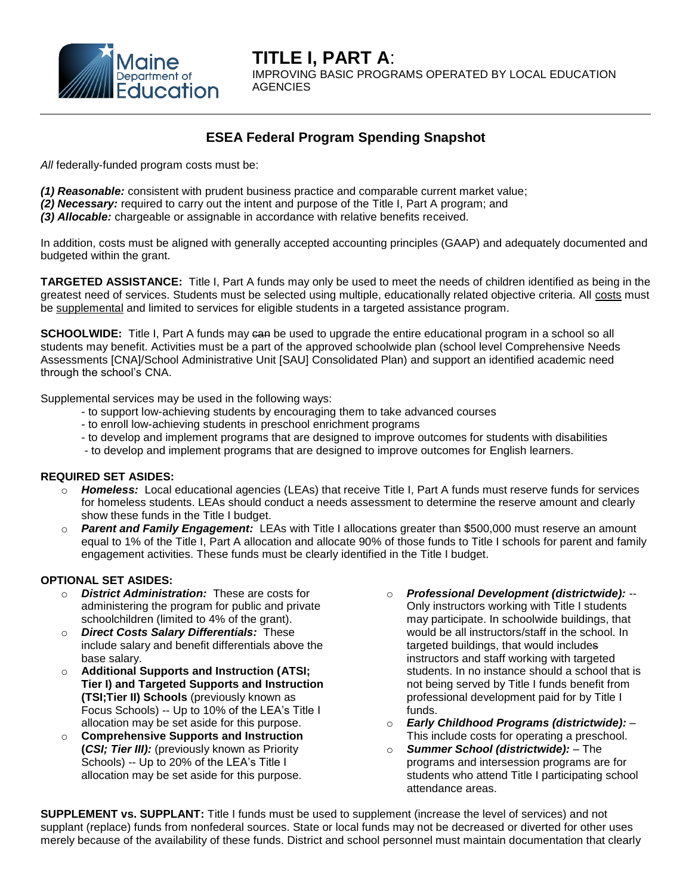

# **ESEA Federal Program Spending Snapshot**

*All* federally-funded program costs must be:

- *(1) Reasonable:* consistent with prudent business practice and comparable current market value;
- *(2) Necessary:* required to carry out the intent and purpose of the Title I, Part A program; and
- *(3) Allocable:* chargeable or assignable in accordance with relative benefits received.

In addition, costs must be aligned with generally accepted accounting principles (GAAP) and adequately documented and budgeted within the grant.

**TARGETED ASSISTANCE:** Title I, Part A funds may only be used to meet the needs of children identified as being in the greatest need of services. Students must be selected using multiple, educationally related objective criteria. All costs must be supplemental and limited to services for eligible students in a targeted assistance program.

**SCHOOLWIDE:** Title I, Part A funds may can be used to upgrade the entire educational program in a school so all students may benefit. Activities must be a part of the approved schoolwide plan (school level Comprehensive Needs Assessments [CNA]/School Administrative Unit [SAU] Consolidated Plan) and support an identified academic need through the school's CNA.

Supplemental services may be used in the following ways:

- to support low-achieving students by encouraging them to take advanced courses
- to enroll low-achieving students in preschool enrichment programs
- to develop and implement programs that are designed to improve outcomes for students with disabilities
- to develop and implement programs that are designed to improve outcomes for English learners.

#### **REQUIRED SET ASIDES:**

- o *Homeless:* Local educational agencies (LEAs) that receive Title I, Part A funds must reserve funds for services for homeless students. LEAs should conduct a needs assessment to determine the reserve amount and clearly show these funds in the Title I budget.
- o *Parent and Family Engagement:*LEAs with Title I allocations greater than \$500,000 must reserve an amount equal to 1% of the Title I, Part A allocation and allocate 90% of those funds to Title I schools for parent and family engagement activities. These funds must be clearly identified in the Title I budget.

### **OPTIONAL SET ASIDES:**

- o *District Administration:* These are costs for administering the program for public and private schoolchildren (limited to 4% of the grant).
- o *Direct Costs Salary Differentials:* These include salary and benefit differentials above the base salary.
- o **Additional Supports and Instruction (ATSI; Tier I) and Targeted Supports and Instruction (TSI;Tier II) Schools** (previously known as Focus Schools) -- Up to 10% of the LEA's Title I allocation may be set aside for this purpose.
- o **Comprehensive Supports and Instruction (***CSI; Tier III):* (previously known as Priority Schools) -- Up to 20% of the LEA's Title I allocation may be set aside for this purpose.
- o *Professional Development (districtwide):* -- Only instructors working with Title I students may participate. In schoolwide buildings, that would be all instructors/staff in the school. In targeted buildings, that would includes instructors and staff working with targeted students. In no instance should a school that is not being served by Title I funds benefit from professional development paid for by Title I funds.
- o *Early Childhood Programs (districtwide):* This include costs for operating a preschool.
- o *Summer School (districtwide):* The programs and intersession programs are for students who attend Title I participating school attendance areas.

**SUPPLEMENT vs. SUPPLANT:** Title I funds must be used to supplement (increase the level of services) and not supplant (replace) funds from nonfederal sources. State or local funds may not be decreased or diverted for other uses merely because of the availability of these funds. District and school personnel must maintain documentation that clearly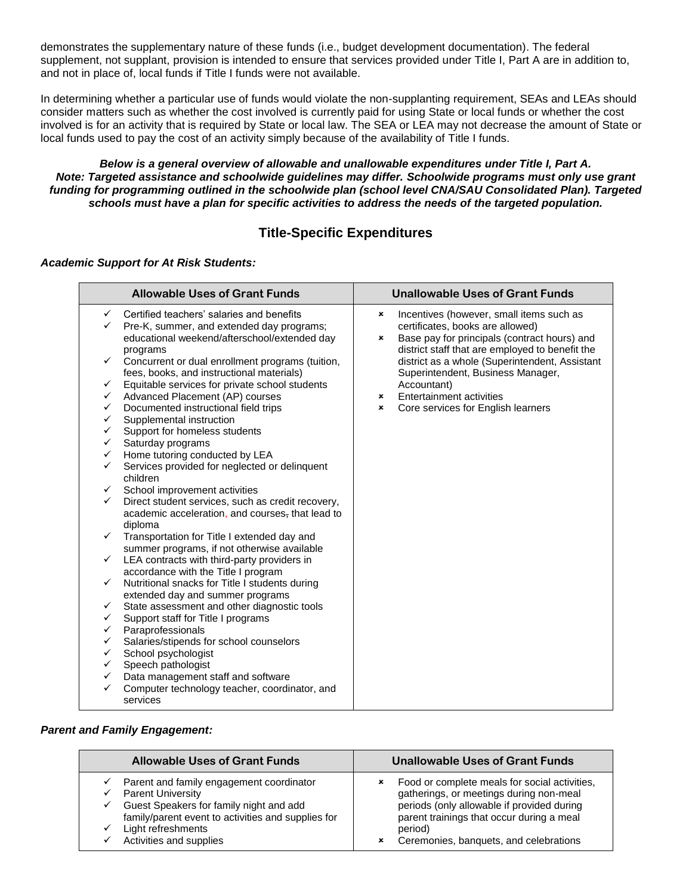demonstrates the supplementary nature of these funds (i.e., budget development documentation). The federal supplement, not supplant, provision is intended to ensure that services provided under Title I, Part A are in addition to, and not in place of, local funds if Title I funds were not available.

In determining whether a particular use of funds would violate the non-supplanting requirement, SEAs and LEAs should consider matters such as whether the cost involved is currently paid for using State or local funds or whether the cost involved is for an activity that is required by State or local law. The SEA or LEA may not decrease the amount of State or local funds used to pay the cost of an activity simply because of the availability of Title I funds.

### *Below is a general overview of allowable and unallowable expenditures under Title I, Part A. Note: Targeted assistance and schoolwide guidelines may differ. Schoolwide programs must only use grant funding for programming outlined in the schoolwide plan (school level CNA/SAU Consolidated Plan). Targeted schools must have a plan for specific activities to address the needs of the targeted population.*

## **Title-Specific Expenditures**

### *Academic Support for At Risk Students:*

| <b>Allowable Uses of Grant Funds</b>                                                                           |                                                                                                                                                                                                                                                                                                                                                                                                                                                                                                                                                                                                                                                                                                                                                                                                                                                        | <b>Unallowable Uses of Grant Funds</b>                                                                                                                                                                                                                |  |
|----------------------------------------------------------------------------------------------------------------|--------------------------------------------------------------------------------------------------------------------------------------------------------------------------------------------------------------------------------------------------------------------------------------------------------------------------------------------------------------------------------------------------------------------------------------------------------------------------------------------------------------------------------------------------------------------------------------------------------------------------------------------------------------------------------------------------------------------------------------------------------------------------------------------------------------------------------------------------------|-------------------------------------------------------------------------------------------------------------------------------------------------------------------------------------------------------------------------------------------------------|--|
| $\checkmark$<br>✓                                                                                              | Certified teachers' salaries and benefits<br>Pre-K, summer, and extended day programs;<br>educational weekend/afterschool/extended day                                                                                                                                                                                                                                                                                                                                                                                                                                                                                                                                                                                                                                                                                                                 | Incentives (however, small items such as<br>×<br>certificates, books are allowed)<br>Base pay for principals (contract hours) and<br>×                                                                                                                |  |
| ✓<br>✓<br>✓<br>✓<br>✓<br>✓<br>$\checkmark$<br>$\checkmark$<br>$\checkmark$<br>✓<br>$\checkmark$<br>✓<br>✓<br>✓ | programs<br>Concurrent or dual enrollment programs (tuition,<br>fees, books, and instructional materials)<br>Equitable services for private school students<br>Advanced Placement (AP) courses<br>Documented instructional field trips<br>Supplemental instruction<br>Support for homeless students<br>Saturday programs<br>Home tutoring conducted by LEA<br>Services provided for neglected or delinquent<br>children<br>School improvement activities<br>Direct student services, such as credit recovery,<br>academic acceleration, and courses, that lead to<br>diploma<br>Transportation for Title I extended day and<br>summer programs, if not otherwise available<br>LEA contracts with third-party providers in<br>accordance with the Title I program<br>Nutritional snacks for Title I students during<br>extended day and summer programs | district staff that are employed to benefit the<br>district as a whole (Superintendent, Assistant<br>Superintendent, Business Manager,<br>Accountant)<br><b>Entertainment activities</b><br>×<br>Core services for English learners<br>$\pmb{\times}$ |  |
| ✓<br>✓                                                                                                         | State assessment and other diagnostic tools<br>Support staff for Title I programs                                                                                                                                                                                                                                                                                                                                                                                                                                                                                                                                                                                                                                                                                                                                                                      |                                                                                                                                                                                                                                                       |  |
| ✓                                                                                                              | Paraprofessionals                                                                                                                                                                                                                                                                                                                                                                                                                                                                                                                                                                                                                                                                                                                                                                                                                                      |                                                                                                                                                                                                                                                       |  |
| ✓                                                                                                              | Salaries/stipends for school counselors                                                                                                                                                                                                                                                                                                                                                                                                                                                                                                                                                                                                                                                                                                                                                                                                                |                                                                                                                                                                                                                                                       |  |
| ✓                                                                                                              | School psychologist                                                                                                                                                                                                                                                                                                                                                                                                                                                                                                                                                                                                                                                                                                                                                                                                                                    |                                                                                                                                                                                                                                                       |  |
| ✓                                                                                                              | Speech pathologist                                                                                                                                                                                                                                                                                                                                                                                                                                                                                                                                                                                                                                                                                                                                                                                                                                     |                                                                                                                                                                                                                                                       |  |
| ✓<br>✓                                                                                                         | Data management staff and software<br>Computer technology teacher, coordinator, and<br>services                                                                                                                                                                                                                                                                                                                                                                                                                                                                                                                                                                                                                                                                                                                                                        |                                                                                                                                                                                                                                                       |  |

#### *Parent and Family Engagement:*

| <b>Allowable Uses of Grant Funds</b>                                                                                                                                                                                   | <b>Unallowable Uses of Grant Funds</b>                                                                                                                                                                                                             |  |
|------------------------------------------------------------------------------------------------------------------------------------------------------------------------------------------------------------------------|----------------------------------------------------------------------------------------------------------------------------------------------------------------------------------------------------------------------------------------------------|--|
| Parent and family engagement coordinator<br><b>Parent University</b><br>Guest Speakers for family night and add<br>family/parent event to activities and supplies for<br>Light refreshments<br>Activities and supplies | Food or complete meals for social activities,<br>×<br>gatherings, or meetings during non-meal<br>periods (only allowable if provided during<br>parent trainings that occur during a meal<br>period)<br>Ceremonies, banquets, and celebrations<br>× |  |